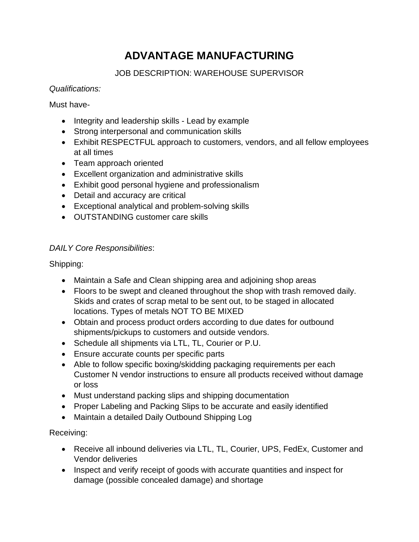# **ADVANTAGE MANUFACTURING**

## JOB DESCRIPTION: WAREHOUSE SUPERVISOR

#### *Qualifications:*

Must have-

- Integrity and leadership skills Lead by example
- Strong interpersonal and communication skills
- Exhibit RESPECTFUL approach to customers, vendors, and all fellow employees at all times
- Team approach oriented
- Excellent organization and administrative skills
- Exhibit good personal hygiene and professionalism
- Detail and accuracy are critical
- Exceptional analytical and problem-solving skills
- OUTSTANDING customer care skills

### *DAILY Core Responsibilities*:

Shipping:

- Maintain a Safe and Clean shipping area and adjoining shop areas
- Floors to be swept and cleaned throughout the shop with trash removed daily. Skids and crates of scrap metal to be sent out, to be staged in allocated locations. Types of metals NOT TO BE MIXED
- Obtain and process product orders according to due dates for outbound shipments/pickups to customers and outside vendors.
- Schedule all shipments via LTL, TL, Courier or P.U.
- Ensure accurate counts per specific parts
- Able to follow specific boxing/skidding packaging requirements per each Customer N vendor instructions to ensure all products received without damage or loss
- Must understand packing slips and shipping documentation
- Proper Labeling and Packing Slips to be accurate and easily identified
- Maintain a detailed Daily Outbound Shipping Log

Receiving:

- Receive all inbound deliveries via LTL, TL, Courier, UPS, FedEx, Customer and Vendor deliveries
- Inspect and verify receipt of goods with accurate quantities and inspect for damage (possible concealed damage) and shortage